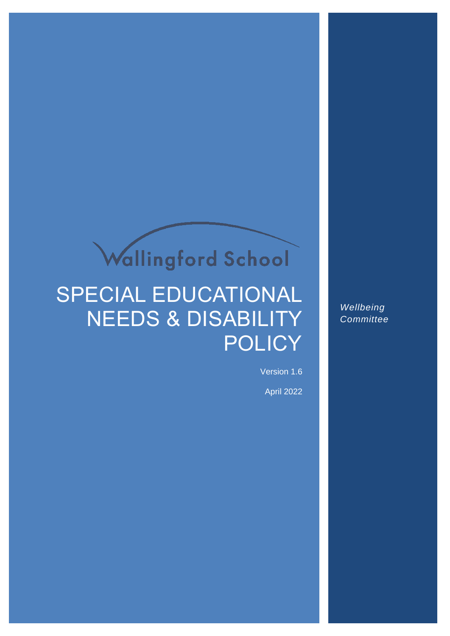# Wallingford School

## SPECIAL EDUCATIONAL NEEDS & DISABILITY **POLICY**

*Wellbeing Committee*

Version 1.6 April 2022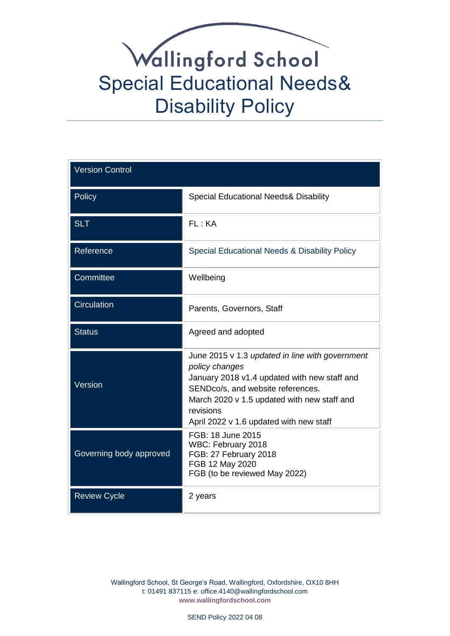| <b>Version Control</b>  |                                                                                                                                                                                                                                                               |  |
|-------------------------|---------------------------------------------------------------------------------------------------------------------------------------------------------------------------------------------------------------------------------------------------------------|--|
| Policy                  | <b>Special Educational Needs&amp; Disability</b>                                                                                                                                                                                                              |  |
| <b>SLT</b>              | FL: KA                                                                                                                                                                                                                                                        |  |
| Reference               | Special Educational Needs & Disability Policy                                                                                                                                                                                                                 |  |
| Committee               | Wellbeing                                                                                                                                                                                                                                                     |  |
| Circulation             | Parents, Governors, Staff                                                                                                                                                                                                                                     |  |
| <b>Status</b>           | Agreed and adopted                                                                                                                                                                                                                                            |  |
| Version                 | June 2015 v 1.3 updated in line with government<br>policy changes<br>January 2018 v1.4 updated with new staff and<br>SENDco/s, and website references.<br>March 2020 v 1.5 updated with new staff and<br>revisions<br>April 2022 v 1.6 updated with new staff |  |
| Governing body approved | FGB: 18 June 2015<br>WBC: February 2018<br>FGB: 27 February 2018<br>FGB 12 May 2020<br>FGB (to be reviewed May 2022)                                                                                                                                          |  |
| <b>Review Cycle</b>     | 2 years                                                                                                                                                                                                                                                       |  |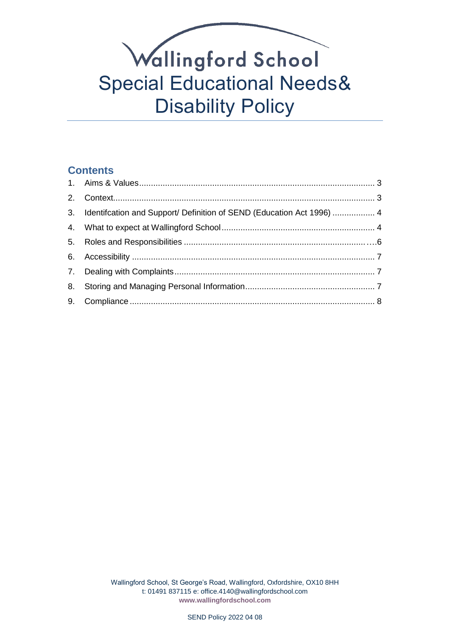### **Contents**

<span id="page-2-0"></span>

| 3. Identifcation and Support/ Definition of SEND (Education Act 1996)  4 |  |
|--------------------------------------------------------------------------|--|
|                                                                          |  |
|                                                                          |  |
|                                                                          |  |
|                                                                          |  |
|                                                                          |  |
|                                                                          |  |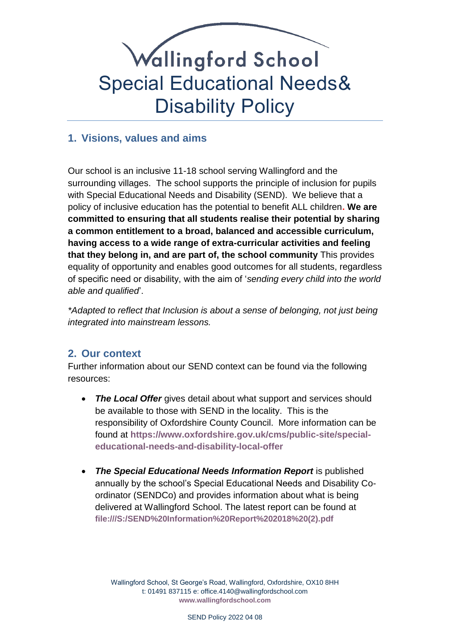

### **1. Visions, values and aims**

Our school is an inclusive 11-18 school serving Wallingford and the surrounding villages. The school supports the principle of inclusion for pupils with Special Educational Needs and Disability (SEND). We believe that a policy of inclusive education has the potential to benefit ALL children**. We are committed to ensuring that all students realise their potential by sharing a common entitlement to a broad, balanced and accessible curriculum, having access to a wide range of extra-curricular activities and feeling that they belong in, and are part of, the school community** This provides equality of opportunity and enables good outcomes for all students, regardless of specific need or disability, with the aim of '*sending every child into the world able and qualified*'.

*\*Adapted to reflect that Inclusion is about a sense of belonging, not just being integrated into mainstream lessons.*

### <span id="page-3-0"></span>**2. Our context**

Further information about our SEND context can be found via the following resources:

- **The Local Offer** gives detail about what support and services should be available to those with SEND in the locality. This is the responsibility of Oxfordshire County Council. More information can be found at **[https://www.oxfordshire.gov.uk/cms/public-site/special](https://www.oxfordshire.gov.uk/cms/public-site/special-educational-needs-and-disability-local-offer)[educational-needs-and-disability-local-offer](https://www.oxfordshire.gov.uk/cms/public-site/special-educational-needs-and-disability-local-offer)**
- *The Special Educational Needs Information Report* is published annually by the school's Special Educational Needs and Disability Coordinator (SENDCo) and provides information about what is being delivered at Wallingford School. The latest report can be found at **[file:///S:/SEND%20Information%20Report%202018%20\(2\).pdf](file://///oracle/fileServer/Users/Staff/BIGMORED/SEND%20Information%20Report%202018%20(2).pdf)**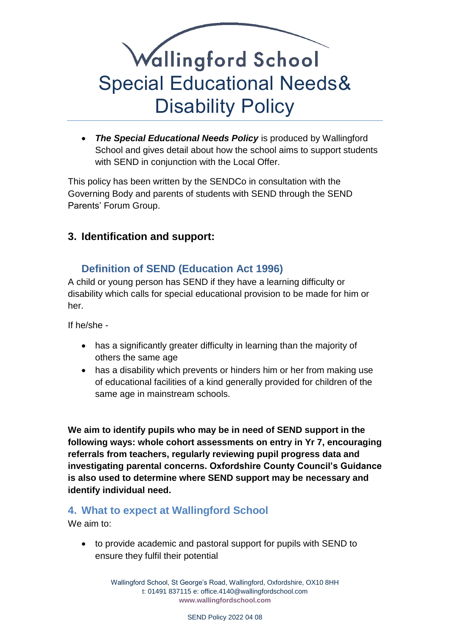

 *The Special Educational Needs Policy* is produced by Wallingford School and gives detail about how the school aims to support students with SEND in conjunction with the Local Offer.

This policy has been written by the SENDCo in consultation with the Governing Body and parents of students with SEND through the SEND Parents' Forum Group.

### <span id="page-4-0"></span>**3. Identification and support:**

### **Definition of SEND (Education Act 1996)**

A child or young person has SEND if they have a learning difficulty or disability which calls for special educational provision to be made for him or her.

If he/she -

- has a significantly greater difficulty in learning than the majority of others the same age
- has a disability which prevents or hinders him or her from making use of educational facilities of a kind generally provided for children of the same age in mainstream schools.

**We aim to identify pupils who may be in need of SEND support in the following ways: whole cohort assessments on entry in Yr 7, encouraging referrals from teachers, regularly reviewing pupil progress data and investigating parental concerns. Oxfordshire County Council's Guidance is also used to determine where SEND support may be necessary and identify individual need.**

#### <span id="page-4-1"></span>**4. What to expect at Wallingford School**

We aim to:

 to provide academic and pastoral support for pupils with SEND to ensure they fulfil their potential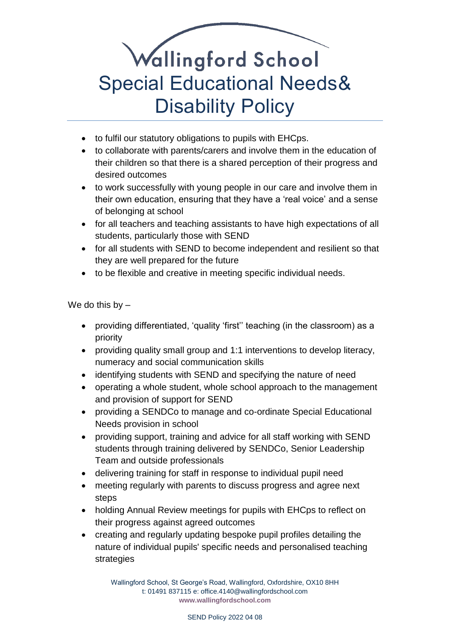- to fulfil our statutory obligations to pupils with EHCps.
- to collaborate with parents/carers and involve them in the education of their children so that there is a shared perception of their progress and desired outcomes
- to work successfully with young people in our care and involve them in their own education, ensuring that they have a 'real voice' and a sense of belonging at school
- for all teachers and teaching assistants to have high expectations of all students, particularly those with SEND
- for all students with SEND to become independent and resilient so that they are well prepared for the future
- to be flexible and creative in meeting specific individual needs.

We do this by  $-$ 

- providing differentiated, 'quality 'first'' teaching (in the classroom) as a priority
- providing quality small group and 1:1 interventions to develop literacy, numeracy and social communication skills
- identifying students with SEND and specifying the nature of need
- operating a whole student, whole school approach to the management and provision of support for SEND
- providing a SENDCo to manage and co-ordinate Special Educational Needs provision in school
- providing support, training and advice for all staff working with SEND students through training delivered by SENDCo, Senior Leadership Team and outside professionals
- delivering training for staff in response to individual pupil need
- meeting regularly with parents to discuss progress and agree next steps
- holding Annual Review meetings for pupils with EHCps to reflect on their progress against agreed outcomes
- creating and regularly updating bespoke pupil profiles detailing the nature of individual pupils' specific needs and personalised teaching strategies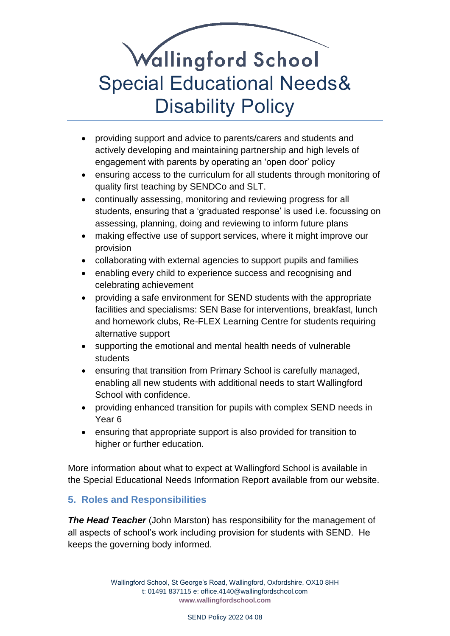- providing support and advice to parents/carers and students and actively developing and maintaining partnership and high levels of engagement with parents by operating an 'open door' policy
- ensuring access to the curriculum for all students through monitoring of quality first teaching by SENDCo and SLT.
- continually assessing, monitoring and reviewing progress for all students, ensuring that a 'graduated response' is used i.e. focussing on assessing, planning, doing and reviewing to inform future plans
- making effective use of support services, where it might improve our provision
- collaborating with external agencies to support pupils and families
- enabling every child to experience success and recognising and celebrating achievement
- providing a safe environment for SEND students with the appropriate facilities and specialisms: SEN Base for interventions, breakfast, lunch and homework clubs, Re-FLEX Learning Centre for students requiring alternative support
- supporting the emotional and mental health needs of vulnerable students
- ensuring that transition from Primary School is carefully managed, enabling all new students with additional needs to start Wallingford School with confidence.
- providing enhanced transition for pupils with complex SEND needs in Year 6
- ensuring that appropriate support is also provided for transition to higher or further education.

More information about what to expect at Wallingford School is available in the Special Educational Needs Information Report available from our website.

### <span id="page-6-0"></span>**5. Roles and Responsibilities**

**The Head Teacher** (John Marston) has responsibility for the management of all aspects of school's work including provision for students with SEND. He keeps the governing body informed.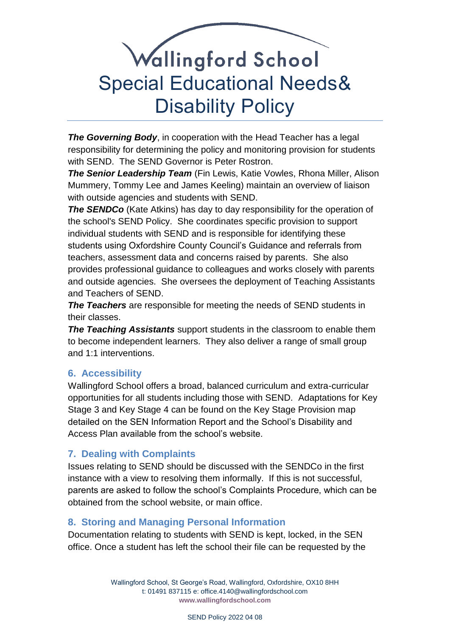*The Governing Body*, in cooperation with the Head Teacher has a legal responsibility for determining the policy and monitoring provision for students with SEND. The SEND Governor is Peter Rostron.

*The Senior Leadership Team* (Fin Lewis, Katie Vowles, Rhona Miller, Alison Mummery, Tommy Lee and James Keeling) maintain an overview of liaison with outside agencies and students with SEND.

**The SENDCo** (Kate Atkins) has day to day responsibility for the operation of the school's SEND Policy. She coordinates specific provision to support individual students with SEND and is responsible for identifying these students using Oxfordshire County Council's Guidance and referrals from teachers, assessment data and concerns raised by parents. She also provides professional guidance to colleagues and works closely with parents and outside agencies. She oversees the deployment of Teaching Assistants and Teachers of SEND.

*The Teachers* are responsible for meeting the needs of SEND students in their classes.

*The Teaching Assistants* support students in the classroom to enable them to become independent learners. They also deliver a range of small group and 1:1 interventions.

#### <span id="page-7-0"></span>**6. Accessibility**

Wallingford School offers a broad, balanced curriculum and extra-curricular opportunities for all students including those with SEND. Adaptations for Key Stage 3 and Key Stage 4 can be found on the Key Stage Provision map detailed on the SEN Information Report and the School's Disability and Access Plan available from the school's website.

#### <span id="page-7-1"></span>**7. Dealing with Complaints**

Issues relating to SEND should be discussed with the SENDCo in the first instance with a view to resolving them informally. If this is not successful, parents are asked to follow the school's Complaints Procedure, which can be obtained from the school website, or main office.

#### <span id="page-7-2"></span>**8. Storing and Managing Personal Information**

Documentation relating to students with SEND is kept, locked, in the SEN office. Once a student has left the school their file can be requested by the